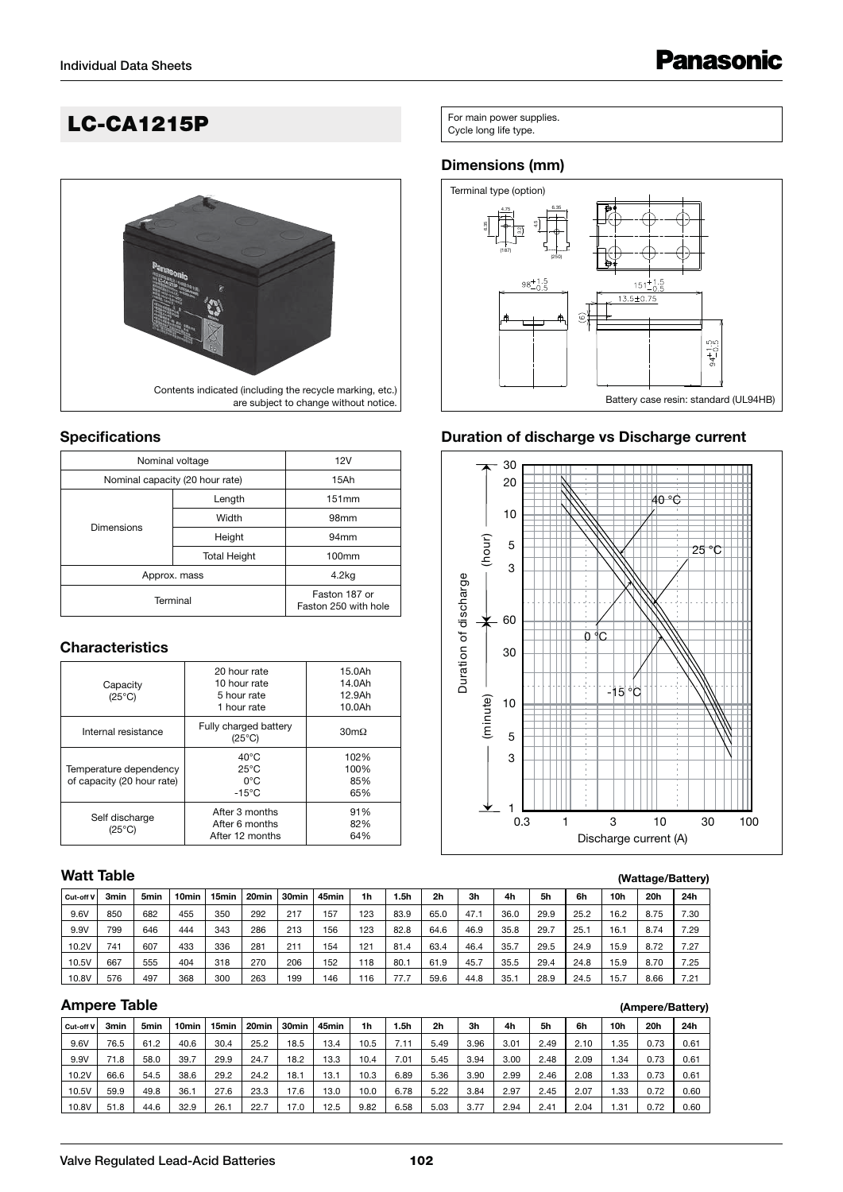# **LC-CA1215P** For main power supplies.



#### **Specifications**

| Nominal voltage                 | 12V                                   |                  |  |  |  |
|---------------------------------|---------------------------------------|------------------|--|--|--|
| Nominal capacity (20 hour rate) | 15Ah                                  |                  |  |  |  |
|                                 | Length                                | 151mm            |  |  |  |
| <b>Dimensions</b>               | Width                                 | 98 <sub>mm</sub> |  |  |  |
|                                 | Height                                | 94 <sub>mm</sub> |  |  |  |
|                                 | <b>Total Height</b>                   | 100mm            |  |  |  |
| Approx. mass                    | 4.2 <sub>kq</sub>                     |                  |  |  |  |
| Terminal                        | Faston 187 or<br>Faston 250 with hole |                  |  |  |  |

### **Characteristics**

| Capacity<br>$(25^{\circ}C)$                          | 20 hour rate<br>10 hour rate<br>5 hour rate<br>1 hour rate           | 15.0Ah<br>14.0Ah<br>12.9Ah<br>10.0Ah | Durati |          | 10  |  |   | -15 °C      |
|------------------------------------------------------|----------------------------------------------------------------------|--------------------------------------|--------|----------|-----|--|---|-------------|
| Internal resistance                                  | Fully charged battery<br>$(25^{\circ}C)$                             | $30 \text{m}\Omega$                  |        | (minute) | 5   |  |   |             |
| Temperature dependency<br>of capacity (20 hour rate) | $40^{\circ}$ C<br>$25^{\circ}$ C<br>$0^{\circ}$ C<br>$-15^{\circ}$ C | 102%<br>100%<br>85%<br>65%           |        |          | 3   |  |   |             |
| Self discharge<br>$(25^{\circ}C)$                    | After 3 months<br>After 6 months<br>After 12 months                  | 91%<br>82%<br>64%                    |        |          | 0.3 |  | 3 | Discharge c |

# **Watt Table**

|           |      |      |                   |                   |                   |       |                   |     |      |                |      |      |      |      |       |      | - -  |
|-----------|------|------|-------------------|-------------------|-------------------|-------|-------------------|-----|------|----------------|------|------|------|------|-------|------|------|
| Cut-off V | 3min | 5min | 10 <sub>min</sub> | 15 <sub>min</sub> | 20 <sub>min</sub> | 30min | 45 <sub>min</sub> | 1h  | l.5h | 2 <sub>h</sub> | 3h   | 4h   | 5h   | 6h   | 10h   | 20h  | 24h  |
| 9.6V      | 850  | 682  | 455               | 350               | 292               | 217   | 157               | 123 | 83.9 | 65.0           | 47.1 | 36.0 | 29.9 | 25.2 | 16.2  | 8.75 | 7.30 |
| 9.9V      | 799  | 646  | 444               | 343               | 286               | 213   | 156               | 123 | 82.8 | 64.6           | 46.9 | 35.8 | 29.7 | 25.1 | 16.1  | 8.74 | 7.29 |
| 10.2V     | 741  | 607  | 433               | 336               | 281               | 211   | 154               | 121 | 81.4 | 63.4           | 46.4 | 35.7 | 29.5 | 24.9 | 15.9  | 8.72 | 7.27 |
| 10.5V     | 667  | 555  | 404               | 318               | 270               | 206   | 152               | 118 | 80.1 | 61.9           | 45.7 | 35.5 | 29.4 | 24.8 | 15.9  | 8.70 | 7.25 |
| 10.8V     | 576  | 497  | 368               | 300               | 263               | 199   | 146               | 116 | 77.7 | 59.6           | 44.8 | 35.7 | 28.9 | 24.5 | i 5.7 | 8.66 | 7.21 |

#### **Ampere Table**

| Cut-off V | 3min | 5 <sub>min</sub> | 10 <sub>min</sub> | 15min | 20 <sub>min</sub> | 30min | 45 <sub>min</sub> | 1h   | 5h   | 2h   | 3h   | 4h   | 5h   | 6h   | 10h   | 20h  | 24h  |
|-----------|------|------------------|-------------------|-------|-------------------|-------|-------------------|------|------|------|------|------|------|------|-------|------|------|
| 9.6V      | 76.5 | 61.2             | 40.6              | 30.4  | 25.2              | 18.5  | 13.4              | 10.5 | 7.11 | 5.49 | 3.96 | 3.01 | 2.49 | 2.10 | i.35  | 0.73 | 0.61 |
| 9.9V      | 71.8 | 58.0             | 39.7              | 29.9  | 24.7              | 18.2  | 13.3              | 10.4 | 7.01 | 5.45 | 3.94 | 3.00 | 2.48 | 2.09 | 1.34  | 0.73 | 0.61 |
| 10.2V     | 66.6 | 54.5             | 38.6              | 29.2  | 24.2              | 18.1  | 13.1              | 10.3 | 6.89 | 5.36 | 3.90 | 2.99 | 2.46 | 2.08 | 1.33  | 0.73 | 0.61 |
| 10.5V     | 59.9 | 49.8             | 36.1              | 27.6  | 23.3              | 17.6  | 13.0              | 10.0 | 6.78 | 5.22 | 3.84 | 2.97 | 2.45 | 2.07 | 33. ا | 0.72 | 0.60 |
| 10.8V     | 51.8 | 44.6             | 32.9              | 26.1  | 22.7              | 17.0  | 12.5              | 9.82 | 6.58 | 5.03 | 3.77 | 2.94 | 2.41 | 2.04 | 1.31  | 0.72 | 0.60 |

# **Dimensions (mm)**



# **Duration of discharge vs Discharge current**



#### **(Wattage/Battery)**

**(Ampere/Battery)**